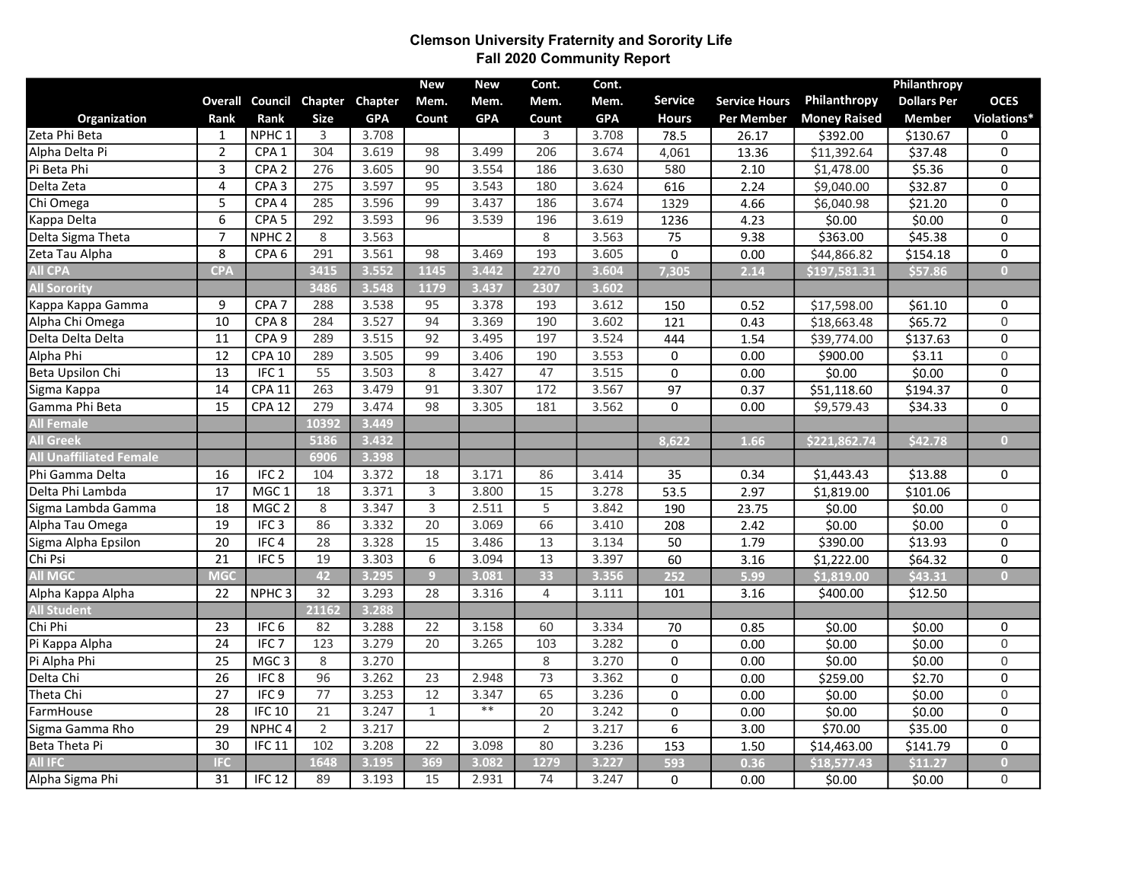## Clemson University Fraternity and Sorority Life Fall 2020 Community Report

|                                |                         |                   |                 |            | <b>New</b>      | <b>New</b> | Cont.           | Cont.      |                  |                      |                        | Philanthropy       |                         |
|--------------------------------|-------------------------|-------------------|-----------------|------------|-----------------|------------|-----------------|------------|------------------|----------------------|------------------------|--------------------|-------------------------|
|                                | <b>Overall</b>          | Council           | Chapter         | Chapter    | Mem.            | Mem.       | Mem.            | Mem.       | <b>Service</b>   | <b>Service Hours</b> | Philanthropy           | <b>Dollars Per</b> | <b>OCES</b>             |
| Organization                   | Rank                    | Rank              | <b>Size</b>     | <b>GPA</b> | Count           | <b>GPA</b> | Count           | <b>GPA</b> | <b>Hours</b>     | <b>Per Member</b>    | <b>Money Raised</b>    | <b>Member</b>      | Violations*             |
| Zeta Phi Beta                  | $\mathbf{1}$            | NPHC <sub>1</sub> | 3               | 3.708      |                 |            | 3               | 3.708      | 78.5             | 26.17                | \$392.00               | \$130.67           | 0                       |
| Alpha Delta Pi                 | $\overline{2}$          | CPA <sub>1</sub>  | 304             | 3.619      | 98              | 3.499      | 206             | 3.674      | 4,061            | 13.36                | \$11,392.64            | \$37.48            | 0                       |
| Pi Beta Phi                    | $\overline{\mathbf{3}}$ | CPA <sub>2</sub>  | 276             | 3.605      | 90              | 3.554      | 186             | 3.630      | 580              | 2.10                 | \$1,478.00             | \$5.36             | $\overline{0}$          |
| Delta Zeta                     | $\overline{\mathbf{4}}$ | CPA3              | 275             | 3.597      | $\overline{95}$ | 3.543      | 180             | 3.624      | 616              | 2.24                 | \$9,040.00             | \$32.87            | 0                       |
| Chi Omega                      | 5                       | CPA <sub>4</sub>  | 285             | 3.596      | 99              | 3.437      | 186             | 3.674      | 1329             | 4.66                 | \$6,040.98             | \$21.20            | 0                       |
| Kappa Delta                    | $\overline{6}$          | CPA <sub>5</sub>  | 292             | 3.593      | 96              | 3.539      | 196             | 3.619      | 1236             | 4.23                 | \$0.00                 | \$0.00             | $\overline{\text{o}}$   |
| Delta Sigma Theta              | $\overline{7}$          | NPHC <sub>2</sub> | 8               | 3.563      |                 |            | 8               | 3.563      | 75               | 9.38                 | \$363.00               | \$45.38            | 0                       |
| Zeta Tau Alpha                 | 8                       | CPA <sub>6</sub>  | 291             | 3.561      | 98              | 3.469      | 193             | 3.605      | $\Omega$         | 0.00                 | \$44,866.82            | \$154.18           | $\overline{0}$          |
| <b>All CPA</b>                 | <b>CPA</b>              |                   | 3415            | 3.552      | 1145            | 3.442      | 2270            | 3.604      | 7,305            | 2.14                 | \$197,581.31           | \$57.86            | $\bullet$               |
| <b>All Sorority</b>            |                         |                   | 3486            | 3.548      | 1179            | 3.437      | 2307            | 3.602      |                  |                      |                        |                    |                         |
| Kappa Kappa Gamma              | 9                       | CPA <sub>7</sub>  | 288             | 3.538      | 95              | 3.378      | 193             | 3.612      | 150              | 0.52                 | \$17,598.00            | \$61.10            | 0                       |
| Alpha Chi Omega                | $\overline{10}$         | CPA <sub>8</sub>  | 284             | 3.527      | $\overline{94}$ | 3.369      | 190             | 3.602      | $\overline{121}$ | 0.43                 | \$18,663.48            | \$65.72            | $\overline{0}$          |
| Delta Delta Delta              | $\overline{11}$         | CPA <sub>9</sub>  | 289             | 3.515      | $\overline{92}$ | 3.495      | 197             | 3.524      | 444              | 1.54                 | \$39,774.00            | \$137.63           | 0                       |
| Alpha Phi                      | $\overline{12}$         | <b>CPA 10</b>     | 289             | 3.505      | 99              | 3.406      | 190             | 3.553      | $\mathbf 0$      | 0.00                 | \$900.00               | \$3.11             | $\overline{0}$          |
| Beta Upsilon Chi               | $\overline{13}$         | IFC <sub>1</sub>  | 55              | 3.503      | 8               | 3.427      | 47              | 3.515      | $\pmb{0}$        | 0.00                 | \$0.00                 | \$0.00             | 0                       |
| Sigma Kappa                    | $\overline{14}$         | <b>CPA 11</b>     | 263             | 3.479      | 91              | 3.307      | 172             | 3.567      | 97               | 0.37                 | \$51,118.60            | \$194.37           | 0                       |
| Gamma Phi Beta                 | $\overline{15}$         | CPA 12            | 279             | 3.474      | 98              | 3.305      | 181             | 3.562      | $\Omega$         | 0.00                 | \$9,579.43             | \$34.33            | $\overline{0}$          |
| <b>All Female</b>              |                         |                   | 10392           | 3.449      |                 |            |                 |            |                  |                      |                        |                    |                         |
| <b>All Greek</b>               |                         |                   | 5186            | 3.432      |                 |            |                 |            | 8,622            | 1.66                 | \$221,862.74           | \$42.78            | $\overline{0}$          |
| <b>All Unaffiliated Female</b> |                         |                   | 6906            | 3.398      |                 |            |                 |            |                  |                      |                        |                    |                         |
| Phi Gamma Delta                | 16                      | IFC <sub>2</sub>  | 104             | 3.372      | 18              | 3.171      | 86              | 3.414      | 35               | 0.34                 | \$1,443.43             | \$13.88            | 0                       |
| Delta Phi Lambda               | 17                      | MGC <sub>1</sub>  | 18              | 3.371      | 3               | 3.800      | 15              | 3.278      | 53.5             | 2.97                 | $\overline{$}1,819.00$ | \$101.06           |                         |
| Sigma Lambda Gamma             | $\overline{18}$         | MGC <sub>2</sub>  | $8\,$           | 3.347      | 3               | 2.511      | $\overline{5}$  | 3.842      | 190              | 23.75                | \$0.00                 | \$0.00             | $\mathsf 0$             |
| Alpha Tau Omega                | $\overline{19}$         | IFC <sub>3</sub>  | 86              | 3.332      | $\overline{20}$ | 3.069      | 66              | 3.410      | 208              | 2.42                 | \$0.00                 | \$0.00             | 0                       |
| Sigma Alpha Epsilon            | $\overline{20}$         | IFC <sub>4</sub>  | $\overline{28}$ | 3.328      | 15              | 3.486      | 13              | 3.134      | 50               | 1.79                 | \$390.00               | \$13.93            | $\overline{\text{o}}$   |
| Chi Psi                        | $\overline{21}$         | IFC <sub>5</sub>  | 19              | 3.303      | 6               | 3.094      | 13              | 3.397      | 60               | 3.16                 | \$1,222.00             | \$64.32            | 0                       |
| <b>All MGC</b>                 | MGC                     |                   | 42              | 3.295      | $\overline{9}$  | 3.081      | 33              | 3.356      | 252              | 5.99                 | \$1,819.00             | \$43.31            | $\bullet$               |
| Alpha Kappa Alpha              | 22                      | NPHC <sub>3</sub> | 32              | 3.293      | 28              | 3.316      | 4               | 3.111      | 101              | 3.16                 | \$400.00               | \$12.50            |                         |
| <b>All Student</b>             |                         |                   | 21162           | 3.288      |                 |            |                 |            |                  |                      |                        |                    |                         |
| Chi Phi                        | 23                      | IFC <sub>6</sub>  | 82              | 3.288      | 22              | 3.158      | 60              | 3.334      | 70               | 0.85                 | \$0.00                 | \$0.00             | 0                       |
| Pi Kappa Alpha                 | $\overline{24}$         | IFC <sub>7</sub>  | 123             | 3.279      | 20              | 3.265      | 103             | 3.282      | 0                | 0.00                 | \$0.00                 | \$0.00             | $\overline{0}$          |
| Pi Alpha Phi                   | 25                      | MGC <sub>3</sub>  | 8               | 3.270      |                 |            | $\,8\,$         | 3.270      | 0                | 0.00                 | \$0.00                 | \$0.00             | $\mathsf{O}\xspace$     |
| Delta Chi                      | $\overline{26}$         | IFC <sub>8</sub>  | 96              | 3.262      | 23              | 2.948      | 73              | 3.362      | $\pmb{0}$        | 0.00                 | \$259.00               | \$2.70             | 0                       |
| Theta Chi                      | $\overline{27}$         | IFC9              | $\overline{77}$ | 3.253      | $\overline{12}$ | 3.347      | 65              | 3.236      | $\pmb{0}$        | 0.00                 | \$0.00                 | \$0.00             | $\overline{0}$          |
| FarmHouse                      | $\overline{28}$         | IFC 10            | $\overline{21}$ | 3.247      | $\mathbf{1}$    | $\ast\ast$ | $\overline{20}$ | 3.242      | $\Omega$         | 0.00                 | \$0.00                 | \$0.00             | $\overline{0}$          |
| Sigma Gamma Rho                | 29                      | NPHC <sub>4</sub> | $\overline{2}$  | 3.217      |                 |            | $\overline{2}$  | 3.217      | 6                | 3.00                 | \$70.00                | \$35.00            | 0                       |
| Beta Theta Pi                  | $\overline{30}$         | <b>IFC 11</b>     | 102             | 3.208      | $\overline{22}$ | 3.098      | 80              | 3.236      | 153              | $\overline{1.50}$    | \$14,463.00            | \$141.79           | 0                       |
| <b>All IFC</b>                 | <b>IFC</b>              |                   | 1648            | 3.195      | 369             | 3.082      | 1279            | 3.227      | 593              | 0.36                 | \$18,577.43            | \$11.27            | $\overline{\mathbf{0}}$ |
| Alpha Sigma Phi                | $\overline{31}$         | <b>IFC 12</b>     | 89              | 3.193      | 15              | 2.931      | 74              | 3.247      | 0                | 0.00                 | \$0.00                 | \$0.00             | 0                       |